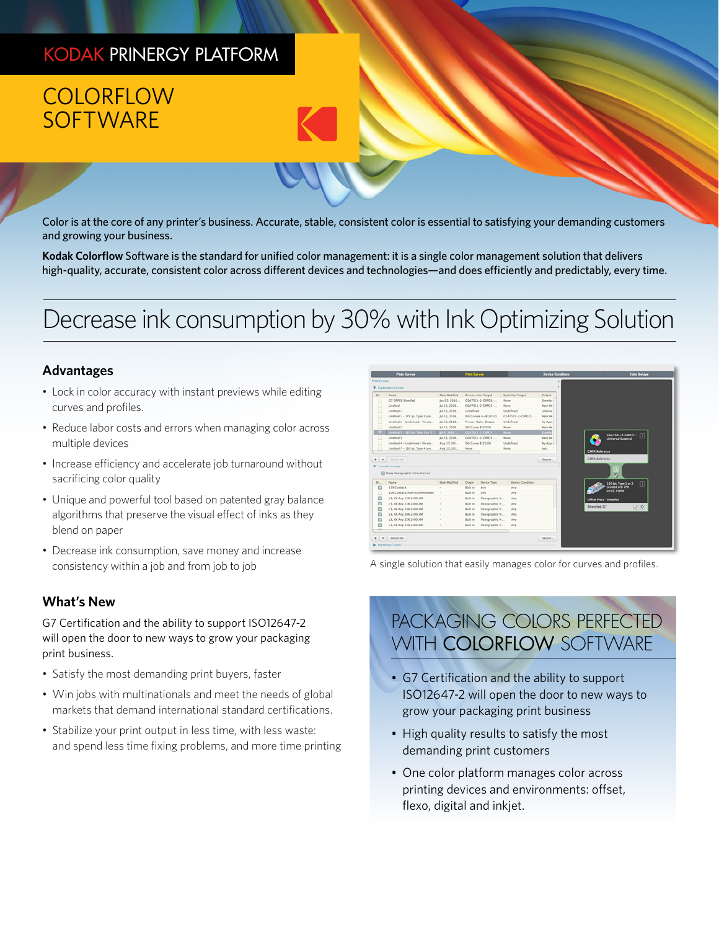### KODAK PRINERGY PLATFORM

# **COLORFLOW SOFTWARE**

Color is at the core of any printer's business. Accurate, stable, consistent color is essential to satisfying your demanding customers and growing your business.

**Kodak Colorflow** Software is the standard for unified color management: it is a single color management solution that delivers high-quality, accurate, consistent color across different devices and technologies—and does efficiently and predictably, every time.

# Decrease ink consumption by 30% with Ink Optimizing Solution

### **Advantages**

- Lock in color accuracy with instant previews while editing curves and profiles.
- Reduce labor costs and errors when managing color across multiple devices
- Increase efficiency and accelerate job turnaround without sacrificing color quality
- Unique and powerful tool based on patented gray balance algorithms that preserve the visual effect of inks as they blend on paper
- Decrease ink consumption, save money and increase consistency within a job and from job to job

### **What's New**

G7 Certification and the ability to support ISO12647-2 will open the door to new ways to grow your packaging print business.

- Satisfy the most demanding print buyers, faster
- Win jobs with multinationals and meet the needs of global markets that demand international standard certifications.
- Stabilize your print output in less time, with less waste: and spend less time fixing problems, and more time printing

|                                                        | <b>Plate Current</b>                                                        |                  | <b>Print Curves</b>         |                                    |                         | <b>Device Conditions</b> |                                                | Color Selves                                       |
|--------------------------------------------------------|-----------------------------------------------------------------------------|------------------|-----------------------------|------------------------------------|-------------------------|--------------------------|------------------------------------------------|----------------------------------------------------|
| <b>Print Curves</b>                                    |                                                                             |                  |                             |                                    |                         |                          |                                                |                                                    |
|                                                        | <b>V</b> Calibration Curves                                                 |                  |                             |                                    |                         |                          |                                                |                                                    |
| sn.                                                    | <b>Name</b>                                                                 | Date Moddled     |                             | <b>Process Inks Target</b>         | Spot Inks Target        | <b>Output</b>            |                                                |                                                    |
| o                                                      | G7 CRPC6 Sheetfed                                                           | Jun 23, 2016     |                             | CCATS21-2-CRPC6-                   | None                    | Sheether                 |                                                |                                                    |
| o                                                      | Untitled                                                                    | Jul 15, 2016     |                             | CCATS21-2-CRPCS-                   | None                    | Main We                  |                                                |                                                    |
| o                                                      | Untitled 1                                                                  | Jul 15, 2016     | Undefined                   |                                    | Undefined               | Unimou                   |                                                |                                                    |
| o                                                      | Untitled 1 - 175 lpi, Type 5 (un                                            | Jul 15, 2016     |                             | ISO Curves A+8 (2013)              | CCATS21-2-CRPC2 -       | Main We                  |                                                |                                                    |
| o                                                      | Untitled 1 - Undefined - Versio                                             | Jul 15, 2016     |                             | Primary Color Output               | Undefined               | My Ages                  |                                                |                                                    |
| o                                                      | Untitled 2                                                                  | Jul 15, 2016     |                             | ISO Curve 8 (2013)                 | None                    | Main We                  |                                                |                                                    |
| ю                                                      | Untitled 2 - 150 lpc, Type 1 or 2                                           | JJ 8, 2016 1     |                             | CGATS21-2-CRPC4-                   | <b>COST</b>             | <b>Shawell</b>           |                                                |                                                    |
| o                                                      | Unsided 3                                                                   | Jul 15, 2016     |                             | CCATS21-2-CRPC1-                   | None                    | Main We                  |                                                | CCATS21-2-CRPC4 - [1]<br><b>Universal Supercal</b> |
| o                                                      | Untitled 4 - Undefined - Versio                                             | Aug 15, 201      |                             | ISO Curve 8 (2013)                 | Undefined               | My Apps                  |                                                |                                                    |
|                                                        |                                                                             | Aug 15, 201      | None                        |                                    | None                    | best                     |                                                |                                                    |
|                                                        | Untitled 7 - 150 lpi, Type 4 (un.,<br>Diplicate<br><b>V</b> Transfer Curves |                  |                             |                                    |                         | Export                   | <b>CMYK Reference</b><br><b>CMYK Reference</b> | œ                                                  |
|                                                        | <sup>2</sup> Show Flexographic Press Curves                                 |                  |                             |                                    |                         |                          |                                                | M                                                  |
|                                                        | Name                                                                        | Date Modified    | Origin                      | Device Type                        | <b>Device Condition</b> |                          |                                                | т<br>150 lpl, Type 1 or 2                          |
|                                                        | 15% Curback                                                                 | ÷                | Built in                    | Any                                | Any                     |                          |                                                | (couned art) 170<br>g/m2.CMWK                      |
|                                                        | 20% Cutback (not recommended)                                               | $\sim$           | <b>Built in</b>             | Any                                | Any                     |                          |                                                |                                                    |
|                                                        | c3, NX Any 12% 2400 AM                                                      | $\sim$           | Built in                    | Flexographic Pr                    | Any.                    |                          | <b>Office Press - Sheetfed</b>                 |                                                    |
|                                                        | c3, NX Any 15% 2400 AM                                                      | ٠                | Built in                    | Flexographic Pr                    | Any                     |                          | Sheetfed G7                                    |                                                    |
| n<br>$+ -$<br>5h<br>$\overline{a}$<br>o<br>ø<br>ø<br>B | c3. NX Any 18N 2400 AM                                                      | ٠                | Built in                    | Flexographic Pr                    | Any                     |                          |                                                | 区负                                                 |
| G<br>ø                                                 | c3, NX Any 20% 2400 AM                                                      | $\sim$           | Built in                    | Flexographic Pr                    | Any                     |                          |                                                |                                                    |
| $\Box$                                                 | c3, NX Any 22% 2400 AM<br>c3, NX Any 24% 2400 AM                            | $\sim$<br>$\sim$ | Built in<br><b>Built</b> in | Flexographic Pr<br>Flexographic Pr | Any<br>Any              |                          |                                                |                                                    |

A single solution that easily manages color for curves and profiles.

## PACKAGING COIORS PERFECTED WITH COLORFLOW SOFTWARE

- G7 Certification and the ability to support ISO12647-2 will open the door to new ways to grow your packaging print business
- High quality results to satisfy the most demanding print customers
- One color platform manages color across printing devices and environments: offset, flexo, digital and inkjet.